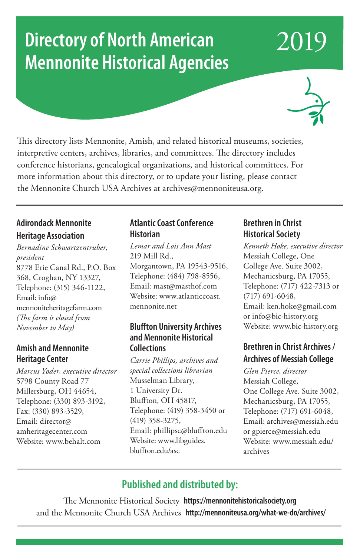# **Directory of North American Mennonite Historical Agencies**



2019

This directory lists Mennonite, Amish, and related historical museums, societies, interpretive centers, archives, libraries, and committees. The directory includes conference historians, genealogical organizations, and historical committees. For more information about this directory, or to update your listing, please contact the Mennonite Church USA Archives at archives@mennoniteusa.org.

#### **Adirondack Mennonite Heritage Association**

*Bernadine Schwartzentruber, president* 8778 Erie Canal Rd., P.O. Box 368, Croghan, NY 13327, Telephone: (315) 346-1122, Email: info@ mennoniteheritagefarm.com *(The farm is closed from November to May)* 

#### **Amish and Mennonite Heritage Center**

*Marcus Yoder, executive director* 5798 County Road 77 Millersburg, OH 44654, Telephone: (330) 893-3192, Fax: (330) 893-3529, Email: director@ amheritagecenter.com Website: www.behalt.com

#### **Atlantic Coast Conference Historian**

*Lemar and Lois Ann Mast* 219 Mill Rd., Morgantown, PA 19543-9516, Telephone: (484) 798-8556, Email: mast@masthof.com Website: www.atlanticcoast. mennonite.net

#### **Bluffton University Archives and Mennonite Historical Collections**

*Carrie Phillips, archives and special collections librarian* Musselman Library, 1 University Dr. Bluffton, OH 45817, Telephone: (419) 358-3450 or (419) 358-3275, Email: phillipsc@bluffton.edu Website: www.libguides. bluffton.edu/asc

#### **Brethren in Christ Historical Society**

*Kenneth Hoke, executive director* Messiah College, One College Ave. Suite 3002, Mechanicsburg, PA 17055, Telephone: (717) 422-7313 or (717) 691-6048, Email: ken.hoke@gmail.com or info@bic-history.org Website: www.bic-history.org

#### **Brethren in Christ Archives / Archives of Messiah College**

*Glen Pierce, director* Messiah College, One College Ave. Suite 3002, Mechanicsburg, PA 17055, Telephone: (717) 691-6048, Email: archives@messiah.edu or gpierce@messiah.edu Website: www.messiah.edu/ archives

### **Published and distributed by:**

The Mennonite Historical Society **https://mennonitehistoricalsociety.org** and the Mennonite Church USA Archives **http://mennoniteusa.org/what-we-do/archives/**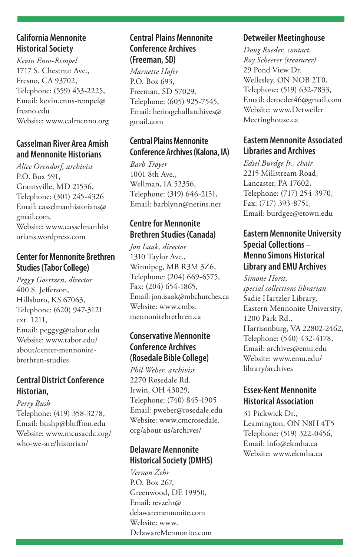#### **California Mennonite Historical Society**

*Kevin Enns-Rempel* 1717 S. Chestnut Ave., Fresno, CA 93702, Telephone: (559) 453-2225, Email: kevin.enns-rempel@ fresno.edu Website: www.calmenno.org

#### **Casselman River Area Amish and Mennonite Historians**

*Alice Orendorf, archivist* P.O. Box 591, Grantsville, MD 21536, Telephone: (301) 245-4326 Email: casselmanhistorians@ gmail.com, Website: www.casselmanhist orians.wordpress.com

#### **Center for Mennonite Brethren Studies (Tabor College)**

*Peggy Goertzen, director* 400 S. Jefferson, Hillsboro, KS 67063, Telephone: (620) 947-3121 ext. 1211, Email: peggyg@tabor.edu Website: www.tabor.edu/ about/center-mennonitebrethren-studies

#### **Central District Conference Historian,**

*Perry Bush* Telephone: (419) 358-3278, Email: bushp@bluffton.edu Website: www.mcusacdc.org/ who-we-are/historian/

#### **Central Plains Mennonite Conference Archives (Freeman, SD)**

*Marnette Hofer* P.O. Box 693, Freeman, SD 57029, Telephone: (605) 925-7545, Email: heritagehallarchives@ gmail.com

#### **Central Plains Mennonite Conference Archives (Kalona, IA)**

*Barb Troyer* 1001 8th Ave., Wellman, IA 52356, Telephone: (319) 646-2151, Email: barblynn@netins.net

#### **Centre for Mennonite Brethren Studies (Canada)**

*Jon Isaak, director* 1310 Taylor Ave., Winnipeg, MB R3M 3Z6, Telephone: (204) 669-6575, Fax: (204) 654-1865, Email: jon.isaak@mbchurches.ca Website: www.cmbs. mennonitebrethren.ca

#### **Conservative Mennonite Conference Archives (Rosedale Bible College)**

*Phil Weber, archivist* 2270 Rosedale Rd. Irwin, OH 43029, Telephone: (740) 845-1905 Email: pweber@rosedale.edu Website: www.cmcrosedale. org/about-us/archives/

#### **Delaware Mennonite Historical Society (DMHS)**

*Vernon Zehr* P.O. Box 267, Greenwood, DE 19950, Email: revzehr@ delawaremennonite.com Website: www. DelawareMennonite.com

#### **Detweiler Meetinghouse**

*Doug Roeder, contact, Roy Scheerer (treasurer)* 29 Pond View Dr. Wellesley, ON NOB 2T0, Telephone: (519) 632-7833, Email: deroeder46@gmail.com Website: www.Detweiler Meetinghouse.ca

#### **Eastern Mennonite Associated Libraries and Archives**

*Edsel Burdge Jr., chair* 2215 Millstream Road, Lancaster, PA 17602, Telephone: (717) 254-3970, Fax: (717) 393-8751, Email: burdgee@etown.edu

#### **Eastern Mennonite University Special Collections – Menno Simons Historical Library and EMU Archives**

*Simone Horst, special collections librarian* Sadie Hartzler Library, Eastern Mennonite University, 1200 Park Rd., Harrisonburg, VA 22802-2462, Telephone: (540) 432-4178, Email: archives@emu.edu Website: www.emu.edu/ library/archives

#### **Essex-Kent Mennonite Historical Association**

31 Pickwick Dr., Leamington, ON N8H 4T5 Telephone: (519) 322-0456, Email: info@ekmha.ca Website: www.ekmha.ca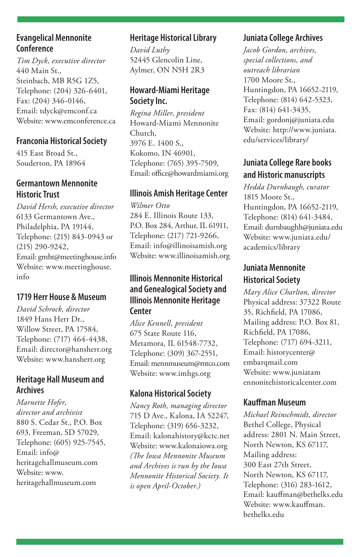#### **Evangelical Mennonite Conference**

*Tim Dyck, executive director* 440 Main St., Steinbach, MB R5G 1Z5, Telephone: (204) 326-6401, Fax: (204) 346-0146, Email: tdyck@emconf.ca Website: www.emconference.ca

#### **Franconia Historical Society**

415 East Broad St., Souderton, PA 18964

#### **Germantown Mennonite Historic Trust**

*David Hersh, executive director* 6133 Germantown Ave., Philadelphia, PA 19144, Telephone: (215) 843-0943 or (215) 290-9242, Email: gmht@meetinghouse.info Website: www.meetinghouse. info

#### **1719 Herr House & Museum**

*David Schrock, director* 1849 Hans Herr Dr., Willow Street, PA 17584, Telephone: (717) 464-4438, Email: director@hansherr.org Website: www.hansherr.org

#### **Heritage Hall Museum and Archives**

*Marnette Hofer, director and archivist* 880 S. Cedar St., P.O. Box 693, Freeman, SD 57029, Telephone: (605) 925-7545, Email: info@ heritagehallmuseum.com Website: www. heritagehallmuseum.com

#### **Heritage Historical Library**

*David Luthy* 52445 Glencolin Line, Aylmer, ON N5H 2R3

#### **Howard-Miami Heritage Society Inc.**

*Regina Miller, president* Howard-Miami Mennonite Church, 3976 E. 1400 S., Kokomo, IN 46901, Telephone: (765) 395-7509, Email: office@howardmiami.org

#### **Illinois Amish Heritage Center**

*Wilmer Otto* 284 E. Illinois Route 133, P.O. Box 284, Arthur, IL 61911, Telephone: (217) 721-9266, Email: info@illinoisamish.org Website: www.illinoisamish.org

#### **Illinois Mennonite Historical and Genealogical Society and Illinois Mennonite Heritage Center**

*Alice Kennell, president* 675 State Route 116, Metamora, IL 61548-7732, Telephone: (309) 367-2551, Email: mennmuseum@mtco.com Website: www.imhgs.org

#### **Kalona Historical Society**

*Nancy Roth, managing director* 715 D Ave., Kalona, IA 52247, Telephone: (319) 656-3232, Email: kalonahistory@kctc.net Website: www.kalonaiowa.org *(The Iowa Mennonite Museum and Archives is run by the Iowa Mennonite Historical Society. It is open April-October.)* 

#### **Juniata College Archives**

*Jacob Gordon, archives, special collections, and outreach librarian*  1700 Moore St., Huntingdon, PA 16652-2119, Telephone: (814) 642-5323, Fax: (814) 641-3435, Email: gordonj@juniata.edu Website: http://www.juniata. edu/services/library/

#### **Juniata College Rare books and Historic manuscripts**

*Hedda Durnbaugh, curator*  1815 Moore St., Huntingdon, PA 16652-2119, Telephone: (814) 641-3484, Email: durnbaughh@juniata.edu Website: www.juniata.edu/ academics/library

#### **Juniata Mennonite Historical Society**

*Mary Alice Charlton, director* Physical address: 37322 Route 35, Richfield, PA 17086, Mailing address: P.O. Box 81, Richfield, PA 17086, Telephone: (717) 694-3211, Email: historycenter@ embarqmail.com Website: www.juniatam ennonitehistoricalcenter.com

#### **Kauffman Museum**

*Michael Reinschmidt, director* Bethel College, Physical address: 2801 N. Main Street, North Newton, KS 67117, Mailing address: 300 East 27th Street, North Newton, KS 67117, Telephone: (316) 283-1612, Email: kauffman@bethelks.edu Website: www.kauffman. bethelks.edu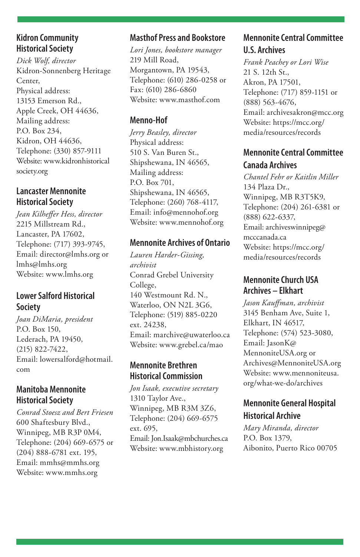#### **Kidron Community Historical Society**

*Dick Wolf, director* Kidron-Sonnenberg Heritage Center, Physical address: 13153 Emerson Rd., Apple Creek, OH 44636, Mailing address: P.O. Box 234, Kidron, OH 44636, Telephone: (330) 857-9111 Website: www.kidronhistorical society.org

#### **Lancaster Mennonite Historical Society**

*Jean Kilheffer Hess, director* 2215 Millstream Rd., Lancaster, PA 17602, Telephone: (717) 393-9745, Email: director@lmhs.org or lmhs@lmhs.org Website: www.lmhs.org

#### **Lower Salford Historical Society**

*Joan DiMaria, president* P.O. Box 150, Lederach, PA 19450, (215) 822-7422, Email: lowersalford@hotmail. com

#### **Manitoba Mennonite Historical Society**

*Conrad Stoesz and Bert Friesen* 600 Shaftesbury Blvd., Winnipeg, MB R3P 0M4, Telephone: (204) 669-6575 or (204) 888-6781 ext. 195, Email: mmhs@mmhs.org Website: www.mmhs.org

#### **Masthof Press and Bookstore**

*Lori Jones, bookstore manager* 219 Mill Road, Morgantown, PA 19543, Telephone: (610) 286-0258 or Fax: (610) 286-6860 Website: www.masthof.com

#### **Menno-Hof**

*Jerry Beasley, director* Physical address: 510 S. Van Buren St., Shipshewana, IN 46565, Mailing address: P.O. Box 701, Shipshewana, IN 46565, Telephone: (260) 768-4117, Email: info@mennohof.org Website: www.mennohof.org

#### **Mennonite Archives of Ontario**

*Lauren Harder-Gissing, archivist* Conrad Grebel University College, 140 Westmount Rd. N., Waterloo, ON N2L 3G6, Telephone: (519) 885-0220 ext. 24238, Email: marchive@uwaterloo.ca Website: www.grebel.ca/mao

#### **Mennonite Brethren Historical Commission**

*Jon Isaak, executive secretary* 1310 Taylor Ave., Winnipeg, MB R3M 3Z6, Telephone: (204) 669-6575 ext. 695, Email: Jon.Isaak@mbchurches.ca Website: www.mbhistory.org

#### **Mennonite Central Committee U.S. Archives**

*Frank Peachey or Lori Wise* 21 S. 12th St., Akron, PA 17501, Telephone: (717) 859-1151 or (888) 563-4676, Email: archivesakron@mcc.org Website: https://mcc.org/ media/resources/records

#### **Mennonite Central Committee Canada Archives**

*Chantel Fehr or Kaitlin Miller* 134 Plaza Dr., Winnipeg, MB R3T5K9, Telephone: (204) 261-6381 or (888) 622-6337, Email: archiveswinnipeg@ mcccanada.ca Website: https://mcc.org/ media/resources/records

#### **Mennonite Church USA Archives – Elkhart**

*Jason Kauffman, archivist* 3145 Benham Ave, Suite 1, Elkhart, IN 46517, Telephone: (574) 523-3080, Email: JasonK@ MennoniteUSA.org or Archives@MennoniteUSA.org Website: www.mennoniteusa. org/what-we-do/archives

#### **Mennonite General Hospital Historical Archive**

*Mary Miranda, director* P.O. Box 1379, Aibonito, Puerto Rico 00705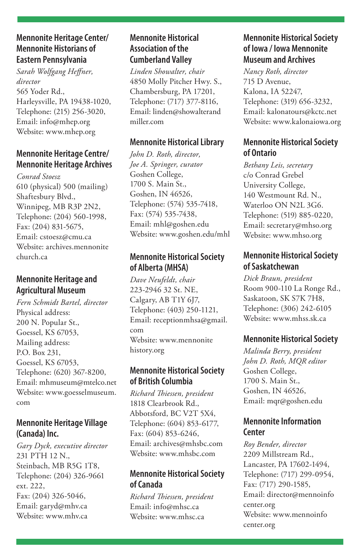#### **Mennonite Heritage Center/ Mennonite Historians of Eastern Pennsylvania**

*Sarah Wolfgang Heffner, director* 565 Yoder Rd., Harleysville, PA 19438-1020, Telephone: (215) 256-3020, Email: info@mhep.org Website: www.mhep.org

#### **Mennonite Heritage Centre/ Mennonite Heritage Archives**

*Conrad Stoesz* 610 (physical) 500 (mailing) Shaftesbury Blvd., Winnipeg, MB R3P 2N2, Telephone: (204) 560-1998, Fax: (204) 831-5675, Email: cstoesz@cmu.ca Website: archives.mennonite church.ca

#### **Mennonite Heritage and Agricultural Museum**

*Fern Schmidt Bartel, director* Physical address: 200 N. Popular St., Goessel, KS 67053, Mailing address: P.O. Box 231, Goessel, KS 67053, Telephone: (620) 367-8200, Email: mhmuseum@mtelco.net Website: www.goesselmuseum. com

#### **Mennonite Heritage Village (Canada) Inc.**

*Gary Dyck, executive director* 231 PTH 12 N., Steinbach, MB R5G 1T8, Telephone: (204) 326-9661 ext. 222, Fax: (204) 326-5046, Email: garyd@mhv.ca Website: www.mhv.ca

#### **Mennonite Historical Association of the Cumberland Valley**

*Linden Showalter, chair* 4850 Molly Pitcher Hwy. S., Chambersburg, PA 17201, Telephone: (717) 377-8116, Email: linden@showalterand miller.com

#### **Mennonite Historical Library**

*John D. Roth, director, Joe A. Springer, curator* Goshen College, 1700 S. Main St., Goshen, IN 46526, Telephone: (574) 535-7418, Fax: (574) 535-7438, Email: mhl@goshen.edu Website: www.goshen.edu/mhl

#### **Mennonite Historical Society of Alberta (MHSA)**

*Dave Neufeldt, chair* 223-2946 32 St. NE, Calgary, AB T1Y 6J7, Telephone: (403) 250-1121, Email: receptionmhsa@gmail. com Website: www.mennonite history.org

#### **Mennonite Historical Society of British Columbia**

*Richard Thiessen, president* 1818 Clearbrook Rd., Abbotsford, BC V2T 5X4, Telephone: (604) 853-6177, Fax: (604) 853-6246, Email: archives@mhsbc.com Website: www.mhsbc.com

#### **Mennonite Historical Society of Canada**

*Richard Thiessen, president* Email: info@mhsc.ca Website: www.mhsc.ca

#### **Mennonite Historical Society of Iowa / Iowa Mennonite Museum and Archives**

*Nancy Roth, director* 715 D Avenue, Kalona, IA 52247, Telephone: (319) 656-3232, Email: kalonatours@kctc.net Website: www.kalonaiowa.org

#### **Mennonite Historical Society of Ontario**

*Bethany Leis, secretary* c/o Conrad Grebel University College, 140 Westmount Rd. N., Waterloo ON N2L 3G6. Telephone: (519) 885-0220, Email: secretary@mhso.org Website: www.mhso.org

#### **Mennonite Historical Society of Saskatchewan**

*Dick Braun, president* Room 900-110 La Ronge Rd., Saskatoon, SK S7K 7H8, Telephone: (306) 242-6105 Website: www.mhss.sk.ca

#### **Mennonite Historical Society**

*Malinda Berry, president John D. Roth, MQR editor* Goshen College, 1700 S. Main St., Goshen, IN 46526, Email: mqr@goshen.edu

#### **Mennonite Information Center**

*Roy Bender, director* 2209 Millstream Rd., Lancaster, PA 17602-1494, Telephone: (717) 299-0954, Fax: (717) 290-1585, Email: director@mennoinfo center.org Website: www.mennoinfo center.org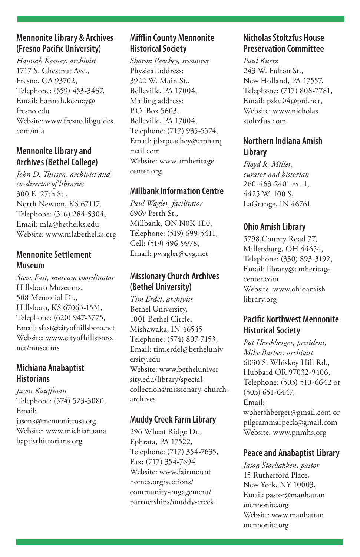#### **Mennonite Library & Archives (Fresno Pacific University)**

*Hannah Keeney, archivist* 1717 S. Chestnut Ave., Fresno, CA 93702, Telephone: (559) 453-3437, Email: hannah.keeney@ fresno.edu Website: www.fresno.libguides. com/mla

#### **Mennonite Library and Archives (Bethel College)**

*John D. Thiesen, archivist and co-director of libraries* 300 E. 27th St., North Newton, KS 67117, Telephone: (316) 284-5304, Email: mla@bethelks.edu Website: www.mlabethelks.org

#### **Mennonite Settlement Museum**

*Steve Fast, museum coordinator* Hillsboro Museums, 508 Memorial Dr., Hillsboro, KS 67063-1531, Telephone: (620) 947-3775, Email: sfast@cityofhillsboro.net Website: www.cityofhillsboro. net/museums

#### **Michiana Anabaptist Historians**

*Jason Kauffman* Telephone: (574) 523-3080, Email: jasonk@mennoniteusa.org Website: www.michianaana baptisthistorians.org

#### **Mifflin County Mennonite Historical Society**

*Sharon Peachey, treasurer* Physical address: 3922 W. Main St., Belleville, PA 17004, Mailing address: P.O. Box 5603, Belleville, PA 17004, Telephone: (717) 935-5574, Email: jdsrpeachey@embarq mail.com Website: www.amheritage center.org

#### **Millbank Information Centre**

*Paul Wagler, facilitator* 6969 Perth St., Millbank, ON N0K 1L0, Telephone: (519) 699-5411, Cell: (519) 496-9978, Email: pwagler@cyg.net

#### **Missionary Church Archives (Bethel University)**

*Tim Erdel, archivist* Bethel University, 1001 Bethel Circle, Mishawaka, IN 46545 Telephone: (574) 807-7153, Email: tim.erdel@betheluniv ersity.edu Website: www.betheluniver sity.edu/library/specialcollections/missionary-churcharchives

#### **Muddy Creek Farm Library**

296 Wheat Ridge Dr., Ephrata, PA 17522, Telephone: (717) 354-7635, Fax: (717) 354-7694 Website: www.fairmount homes.org/sections/ community-engagement/ partnerships/muddy-creek

#### **Nicholas Stoltzfus House Preservation Committee**

*Paul Kurtz* 243 W. Fulton St., New Holland, PA 17557, Telephone: (717) 808-7781, Email: psku04@ptd.net, Website: www.nicholas stoltzfus.com

#### **Northern Indiana Amish Library**

*Floyd R. Miller, curator and historian* 260-463-2401 ex. 1, 4425 W. 100 S, LaGrange, IN 46761

#### **Ohio Amish Library**

5798 County Road 77, Millersburg, OH 44654, Telephone: (330) 893-3192, Email: library@amheritage center.com Website: www.ohioamish library.org

#### **Pacific Northwest Mennonite Historical Society**

*Pat Hershberger, president, Mike Barber, archivist* 6030 S. Whiskey Hill Rd., Hubbard OR 97032-9406, Telephone: (503) 510-6642 or (503) 651-6447, Email: wphershberger@gmail.com or pilgrammarpeck@gmail.com Website: www.pnmhs.org

#### **Peace and Anabaptist Library**

*Jason Storbakken, pastor* 15 Rutherford Place, New York, NY 10003, Email: pastor@manhattan mennonite.org Website: www.manhattan mennonite.org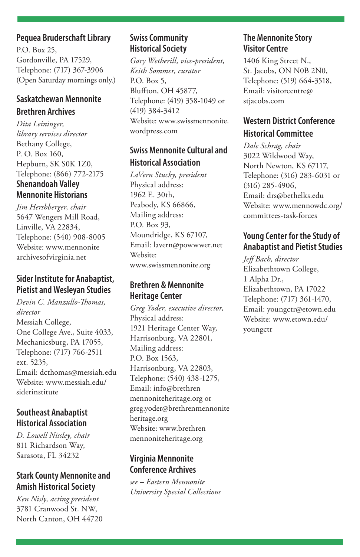#### **Pequea Bruderschaft Library**

P.O. Box 25, Gordonville, PA 17529, Telephone: (717) 367-3906 (Open Saturday mornings only.)

#### **Saskatchewan Mennonite Brethren Archives**

*Dita Leininger, library services director* Bethany College, P. O. Box 160, Hepburn, SK S0K 1Z0, Telephone: (866) 772-2175 **Shenandoah Valley** 

## **Mennonite Historians**

*Jim Hershberger, chair* 5647 Wengers Mill Road, Linville, VA 22834, Telephone: (540) 908-8005 Website: www.mennonite archivesofvirginia.net

#### **Sider Institute for Anabaptist, Pietist and Wesleyan Studies**

*Devin C. Manzullo-Thomas, director*  Messiah College, One College Ave., Suite 4033, Mechanicsburg, PA 17055, Telephone: (717) 766-2511 ext. 5235, Email: dcthomas@messiah.edu Website: www.messiah.edu/ siderinstitute

#### **Southeast Anabaptist Historical Association**

*D. Lowell Nissley, chair* 811 Richardson Way, Sarasota, FL 34232

#### **Stark County Mennonite and Amish Historical Society**

*Ken Nisly, acting president* 3781 Cranwood St. NW, North Canton, OH 44720

#### **Swiss Community Historical Society**

*Gary Wetherill, vice-president, Keith Sommer, curator* P.O. Box 5, Bluffton, OH 45877, Telephone: (419) 358-1049 or (419) 384-3412 Website: www.swissmennonite. wordpress.com

#### **Swiss Mennonite Cultural and Historical Association**

*LaVern Stucky, president* Physical address: 1962 E. 30th, Peabody, KS 66866, Mailing address: P.O. Box 93, Moundridge, KS 67107, Email: lavern@powwwer.net Website: www.swissmennonite.org

#### **Brethren & Mennonite Heritage Center**

*Greg Yoder, executive director,*  Physical address: 1921 Heritage Center Way, Harrisonburg, VA 22801, Mailing address: P.O. Box 1563, Harrisonburg, VA 22803, Telephone: (540) 438-1275, Email: info@brethren mennoniteheritage.org or greg.yoder@brethrenmennonite heritage.org Website: www.brethren mennoniteheritage.org

#### **Virginia Mennonite Conference Archives**

*see – Eastern Mennonite University Special Collections*

#### **The Mennonite Story Visitor Centre**

1406 King Street N., St. Jacobs, ON N0B 2N0, Telephone: (519) 664-3518, Email: visitorcentre@ stjacobs.com

#### **Western District Conference Historical Committee**

*Dale Schrag, chair* 3022 Wildwood Way, North Newton, KS 67117, Telephone: (316) 283-6031 or (316) 285-4906, Email: drs@bethelks.edu Website: www.mennowdc.org/ committees-task-forces

#### **Young Center for the Study of Anabaptist and Pietist Studies**

*Jeff Bach, director* Elizabethtown College, 1 Alpha Dr., Elizabethtown, PA 17022 Telephone: (717) 361-1470, Email: youngctr@etown.edu Website: www.etown.edu/ youngctr